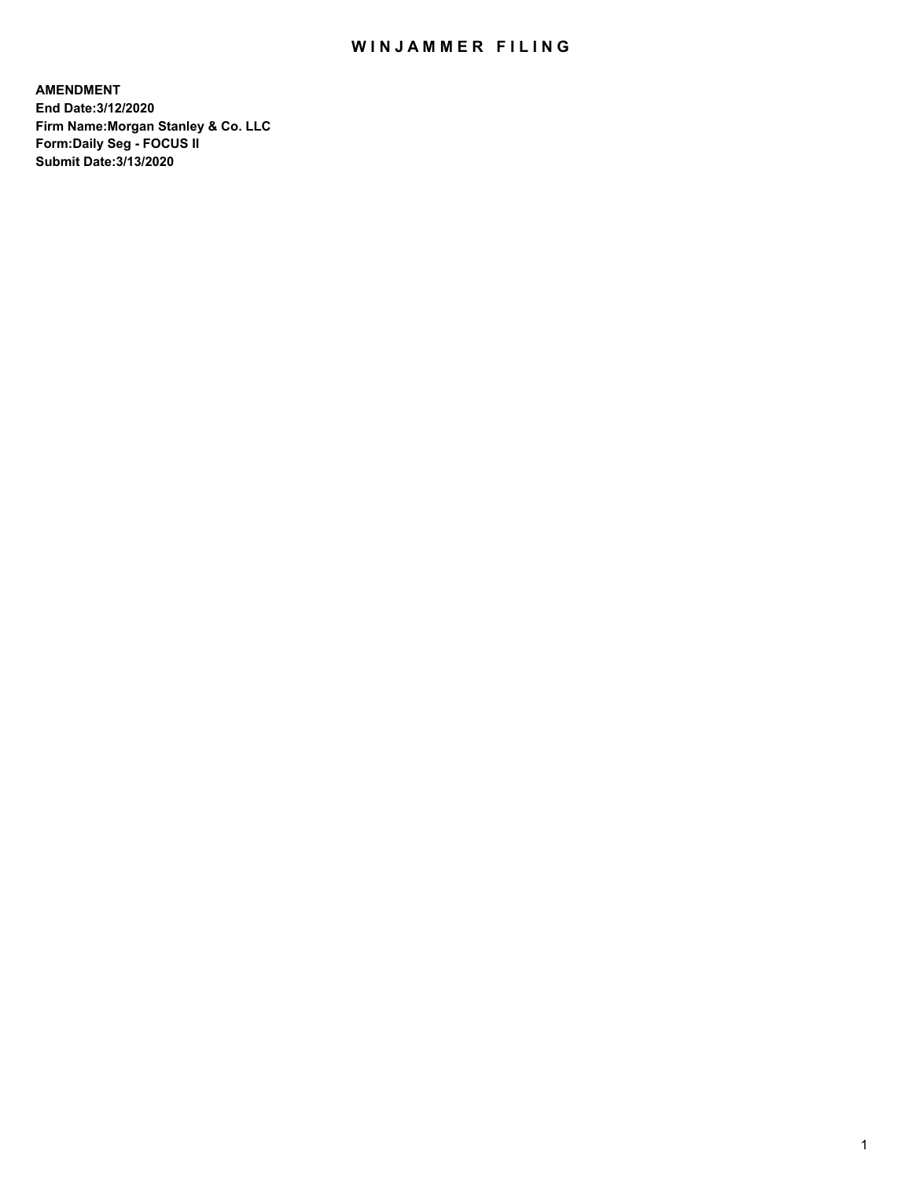## WIN JAMMER FILING

**AMENDMENT End Date:3/12/2020 Firm Name:Morgan Stanley & Co. LLC Form:Daily Seg - FOCUS II Submit Date:3/13/2020**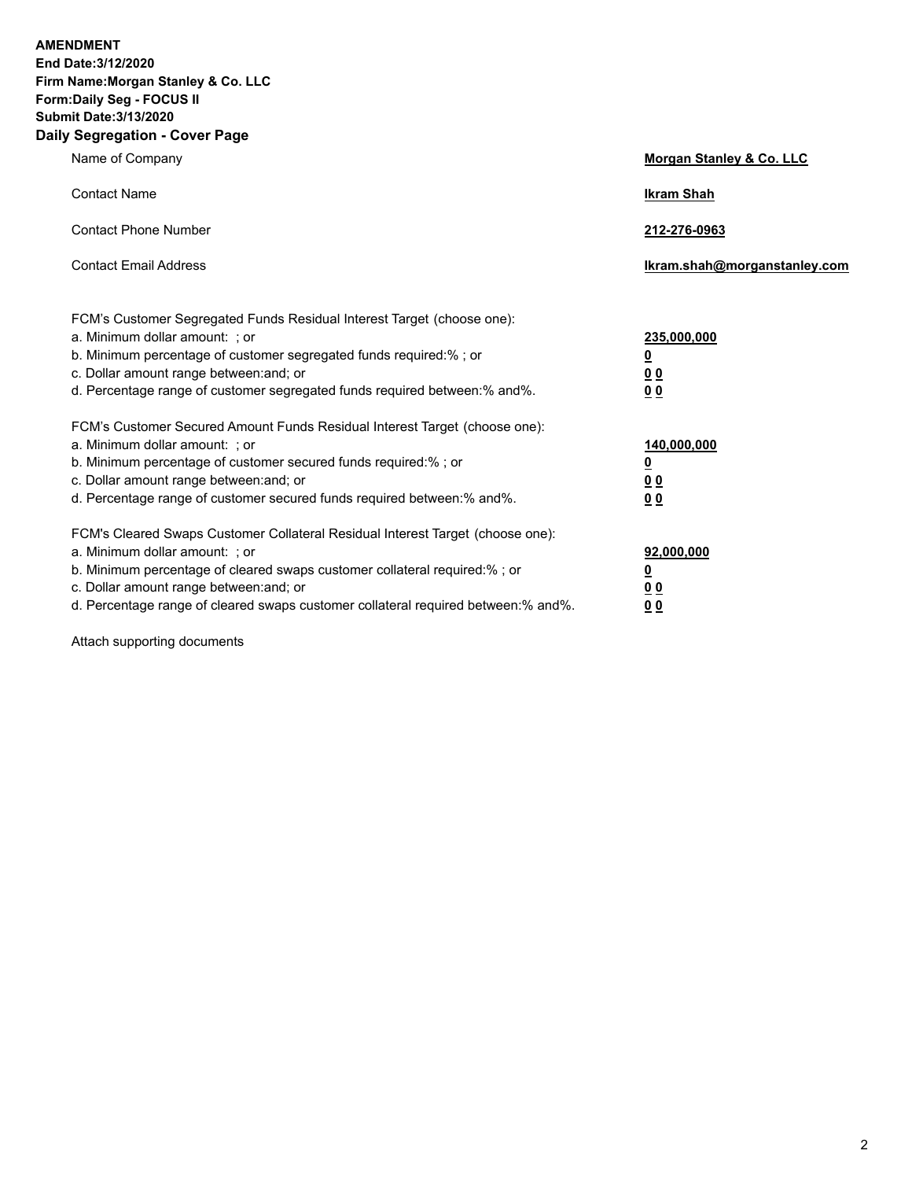**AMENDMENT End Date:3/12/2020 Firm Name:Morgan Stanley & Co. LLC Form:Daily Seg - FOCUS II Submit Date:3/13/2020 Daily Segregation - Cover Page**

| $-99.99$ and $-99.91$                                                                                                                                                                                                                                                                                                          |                                                         |
|--------------------------------------------------------------------------------------------------------------------------------------------------------------------------------------------------------------------------------------------------------------------------------------------------------------------------------|---------------------------------------------------------|
| Name of Company                                                                                                                                                                                                                                                                                                                | <b>Morgan Stanley &amp; Co. LLC</b>                     |
| <b>Contact Name</b>                                                                                                                                                                                                                                                                                                            | <b>Ikram Shah</b>                                       |
| <b>Contact Phone Number</b>                                                                                                                                                                                                                                                                                                    | 212-276-0963                                            |
| <b>Contact Email Address</b>                                                                                                                                                                                                                                                                                                   | Ikram.shah@morganstanley.com                            |
| FCM's Customer Segregated Funds Residual Interest Target (choose one):<br>a. Minimum dollar amount: ; or<br>b. Minimum percentage of customer segregated funds required:% ; or<br>c. Dollar amount range between: and; or<br>d. Percentage range of customer segregated funds required between:% and%.                         | 235,000,000<br><u>0</u><br>00<br>00                     |
| FCM's Customer Secured Amount Funds Residual Interest Target (choose one):<br>a. Minimum dollar amount: ; or<br>b. Minimum percentage of customer secured funds required:%; or<br>c. Dollar amount range between: and; or<br>d. Percentage range of customer secured funds required between: % and %.                          | 140,000,000<br><u>0</u><br><u>0 0</u><br>0 <sub>0</sub> |
| FCM's Cleared Swaps Customer Collateral Residual Interest Target (choose one):<br>a. Minimum dollar amount: ; or<br>b. Minimum percentage of cleared swaps customer collateral required:% ; or<br>c. Dollar amount range between: and; or<br>d. Percentage range of cleared swaps customer collateral required between:% and%. | 92,000,000<br><u>0</u><br><u>00</u><br>0 <sub>0</sub>   |

Attach supporting documents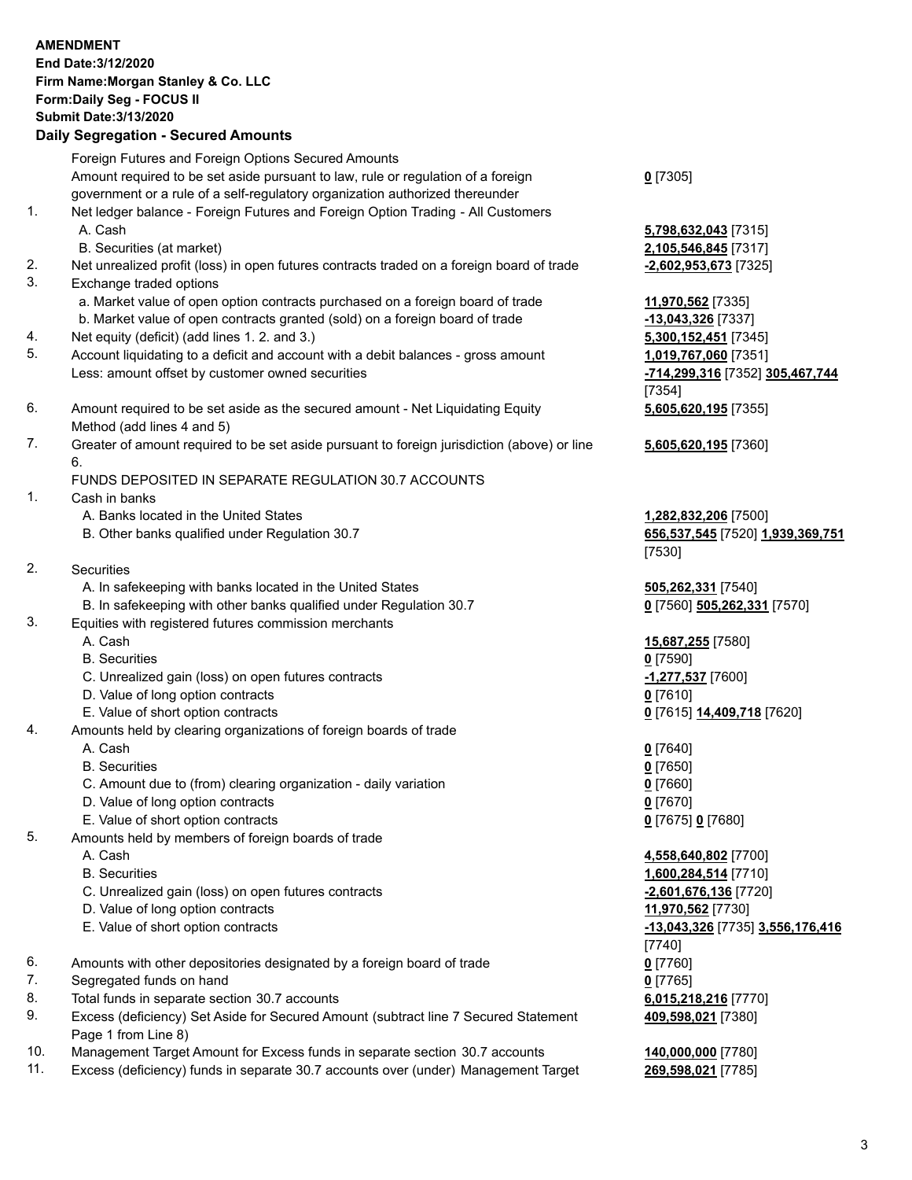|     | <b>AMENDMENT</b><br>End Date: 3/12/2020<br>Firm Name: Morgan Stanley & Co. LLC<br>Form: Daily Seg - FOCUS II<br><b>Submit Date: 3/13/2020</b><br><b>Daily Segregation - Secured Amounts</b> |                                                         |
|-----|---------------------------------------------------------------------------------------------------------------------------------------------------------------------------------------------|---------------------------------------------------------|
|     | Foreign Futures and Foreign Options Secured Amounts<br>Amount required to be set aside pursuant to law, rule or regulation of a foreign                                                     | $0$ [7305]                                              |
| 1.  | government or a rule of a self-regulatory organization authorized thereunder                                                                                                                |                                                         |
|     | Net ledger balance - Foreign Futures and Foreign Option Trading - All Customers<br>A. Cash                                                                                                  | 5,798,632,043 [7315]                                    |
| 2.  | B. Securities (at market)<br>Net unrealized profit (loss) in open futures contracts traded on a foreign board of trade                                                                      | 2,105,546,845 [7317]<br>-2,602,953,673 [7325]           |
| 3.  | Exchange traded options                                                                                                                                                                     |                                                         |
|     | a. Market value of open option contracts purchased on a foreign board of trade                                                                                                              | 11,970,562 [7335]                                       |
|     | b. Market value of open contracts granted (sold) on a foreign board of trade                                                                                                                | -13,043,326 [7337]                                      |
| 4.  | Net equity (deficit) (add lines 1. 2. and 3.)                                                                                                                                               | 5,300,152,451 [7345]                                    |
| 5.  | Account liquidating to a deficit and account with a debit balances - gross amount<br>Less: amount offset by customer owned securities                                                       | 1,019,767,060 [7351]<br>-714,299,316 [7352] 305,467,744 |
|     |                                                                                                                                                                                             | [7354]                                                  |
| 6.  | Amount required to be set aside as the secured amount - Net Liquidating Equity<br>Method (add lines 4 and 5)                                                                                | 5,605,620,195 [7355]                                    |
| 7.  | Greater of amount required to be set aside pursuant to foreign jurisdiction (above) or line<br>6.                                                                                           | 5,605,620,195 [7360]                                    |
| 1.  | FUNDS DEPOSITED IN SEPARATE REGULATION 30.7 ACCOUNTS<br>Cash in banks                                                                                                                       |                                                         |
|     | A. Banks located in the United States                                                                                                                                                       | 1,282,832,206 [7500]                                    |
|     | B. Other banks qualified under Regulation 30.7                                                                                                                                              | 656,537,545 [7520] 1,939,369,751<br>[7530]              |
| 2.  | Securities                                                                                                                                                                                  |                                                         |
|     | A. In safekeeping with banks located in the United States                                                                                                                                   | 505,262,331 [7540]                                      |
| 3.  | B. In safekeeping with other banks qualified under Regulation 30.7<br>Equities with registered futures commission merchants                                                                 | 0 [7560] 505,262,331 [7570]                             |
|     | A. Cash<br><b>B.</b> Securities                                                                                                                                                             | 15,687,255 [7580]<br>$0$ [7590]                         |
|     | C. Unrealized gain (loss) on open futures contracts                                                                                                                                         | -1,277,537 [7600]                                       |
|     | D. Value of long option contracts                                                                                                                                                           | $0$ [7610]                                              |
|     | E. Value of short option contracts                                                                                                                                                          | 0 [7615] 14,409,718 [7620]                              |
| 4.  | Amounts held by clearing organizations of foreign boards of trade                                                                                                                           |                                                         |
|     | A. Cash                                                                                                                                                                                     | $0$ [7640]                                              |
|     | <b>B.</b> Securities                                                                                                                                                                        | $0$ [7650]                                              |
|     | C. Amount due to (from) clearing organization - daily variation<br>D. Value of long option contracts                                                                                        | $0$ [7660]<br>$0$ [7670]                                |
|     | E. Value of short option contracts                                                                                                                                                          | 0 [7675] 0 [7680]                                       |
| 5.  | Amounts held by members of foreign boards of trade                                                                                                                                          |                                                         |
|     | A. Cash                                                                                                                                                                                     | 4,558,640,802 [7700]                                    |
|     | <b>B.</b> Securities                                                                                                                                                                        | 1,600,284,514 [7710]                                    |
|     | C. Unrealized gain (loss) on open futures contracts                                                                                                                                         | -2,601,676,136 [7720]                                   |
|     | D. Value of long option contracts                                                                                                                                                           | 11,970,562 [7730]                                       |
|     | E. Value of short option contracts                                                                                                                                                          | -13,043,326 [7735] 3,556,176,416<br>[7740]              |
| 6.  | Amounts with other depositories designated by a foreign board of trade                                                                                                                      | $0$ [7760]                                              |
| 7.  | Segregated funds on hand                                                                                                                                                                    | $0$ [7765]                                              |
| 8.  | Total funds in separate section 30.7 accounts                                                                                                                                               | 6,015,218,216 [7770]                                    |
| 9.  | Excess (deficiency) Set Aside for Secured Amount (subtract line 7 Secured Statement<br>Page 1 from Line 8)                                                                                  | 409,598,021 [7380]                                      |
| 10. | Management Target Amount for Excess funds in separate section 30.7 accounts                                                                                                                 | 140,000,000 [7780]                                      |
| 11. | Excess (deficiency) funds in separate 30.7 accounts over (under) Management Target                                                                                                          | 269,598,021 [7785]                                      |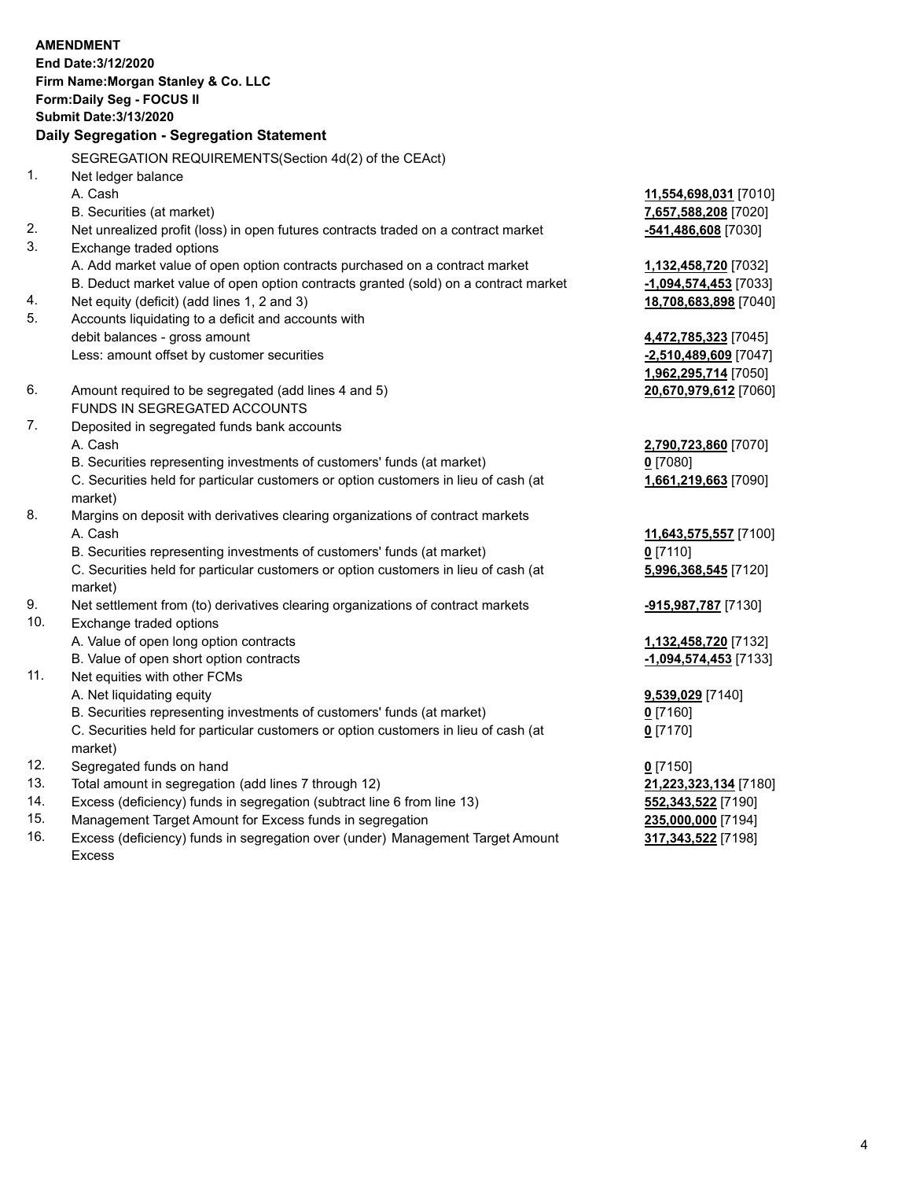|     | <b>AMENDMENT</b>                                                                               |                         |
|-----|------------------------------------------------------------------------------------------------|-------------------------|
|     | End Date: 3/12/2020                                                                            |                         |
|     | Firm Name: Morgan Stanley & Co. LLC                                                            |                         |
|     | Form: Daily Seg - FOCUS II                                                                     |                         |
|     | <b>Submit Date: 3/13/2020</b>                                                                  |                         |
|     | Daily Segregation - Segregation Statement                                                      |                         |
|     | SEGREGATION REQUIREMENTS(Section 4d(2) of the CEAct)                                           |                         |
| 1.  | Net ledger balance                                                                             |                         |
|     | A. Cash                                                                                        | 11,554,698,031 [7010]   |
|     | B. Securities (at market)                                                                      | 7,657,588,208 [7020]    |
| 2.  | Net unrealized profit (loss) in open futures contracts traded on a contract market             | -541,486,608 [7030]     |
| 3.  | Exchange traded options                                                                        |                         |
|     | A. Add market value of open option contracts purchased on a contract market                    | 1,132,458,720 [7032]    |
|     | B. Deduct market value of open option contracts granted (sold) on a contract market            | $-1,094,574,453$ [7033] |
| 4.  | Net equity (deficit) (add lines 1, 2 and 3)                                                    | 18,708,683,898 [7040]   |
| 5.  | Accounts liquidating to a deficit and accounts with                                            |                         |
|     | debit balances - gross amount                                                                  | 4,472,785,323 [7045]    |
|     | Less: amount offset by customer securities                                                     | $-2,510,489,609$ [7047] |
|     |                                                                                                | 1,962,295,714 [7050]    |
| 6.  | Amount required to be segregated (add lines 4 and 5)                                           | 20,670,979,612 [7060]   |
|     | FUNDS IN SEGREGATED ACCOUNTS                                                                   |                         |
| 7.  | Deposited in segregated funds bank accounts                                                    |                         |
|     | A. Cash                                                                                        | 2,790,723,860 [7070]    |
|     | B. Securities representing investments of customers' funds (at market)                         | $0$ [7080]              |
|     | C. Securities held for particular customers or option customers in lieu of cash (at<br>market) | 1,661,219,663 [7090]    |
| 8.  | Margins on deposit with derivatives clearing organizations of contract markets                 |                         |
|     | A. Cash                                                                                        | 11,643,575,557 [7100]   |
|     | B. Securities representing investments of customers' funds (at market)                         | $0$ [7110]              |
|     | C. Securities held for particular customers or option customers in lieu of cash (at            | 5,996,368,545 [7120]    |
|     | market)                                                                                        |                         |
| 9.  | Net settlement from (to) derivatives clearing organizations of contract markets                | -915,987,787 [7130]     |
| 10. | Exchange traded options                                                                        |                         |
|     | A. Value of open long option contracts                                                         | 1,132,458,720 [7132]    |
|     | B. Value of open short option contracts                                                        | $-1,094,574,453$ [7133] |
| 11. | Net equities with other FCMs                                                                   |                         |
|     | A. Net liquidating equity                                                                      | 9,539,029 [7140]        |
|     | B. Securities representing investments of customers' funds (at market)                         | $0$ [7160]              |
|     | C. Securities held for particular customers or option customers in lieu of cash (at            | $0$ [7170]              |
|     | market)                                                                                        |                         |
| 12. | Segregated funds on hand                                                                       | $0$ [7150]              |
| 13. | Total amount in segregation (add lines 7 through 12)                                           | 21,223,323,134 [7180]   |
| 14. | Excess (deficiency) funds in segregation (subtract line 6 from line 13)                        | 552,343,522 [7190]      |

- 
- 15. Management Target Amount for Excess funds in segregation<br>16. Excess (deficiency) funds in segregation over (under) Management Target Amount 317,343,522 [7198] Excess (deficiency) funds in segregation over (under) Management Target Amount Excess

**317,343,522** [7198]